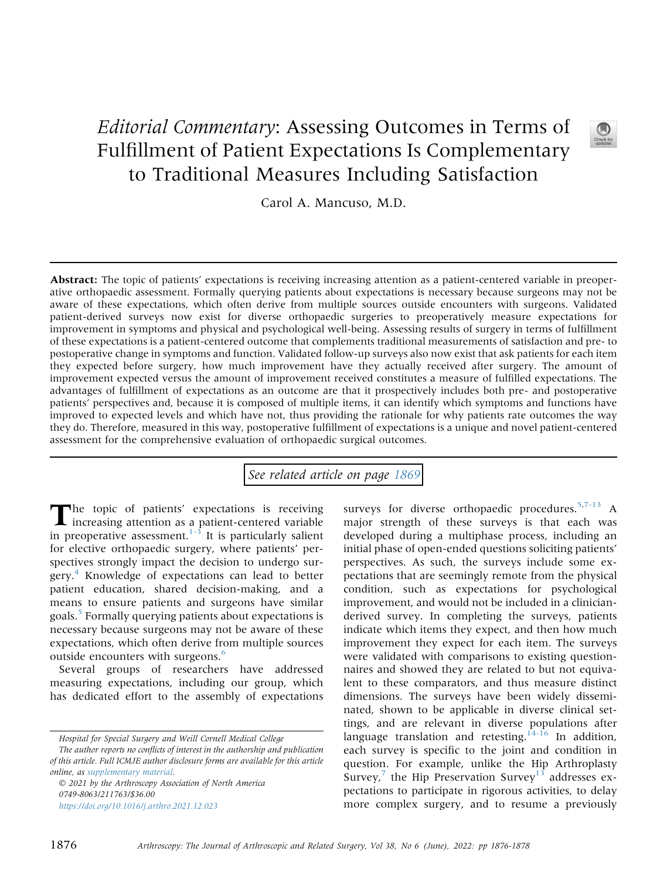## Editorial Commentary: Assessing Outcomes in Terms of Fulfillment of Patient Expectations Is Complementary to Traditional Measures Including Satisfaction



Carol A. Mancuso, M.D.

Abstract: The topic of patients' expectations is receiving increasing attention as a patient-centered variable in preoperative orthopaedic assessment. Formally querying patients about expectations is necessary because surgeons may not be aware of these expectations, which often derive from multiple sources outside encounters with surgeons. Validated patient-derived surveys now exist for diverse orthopaedic surgeries to preoperatively measure expectations for improvement in symptoms and physical and psychological well-being. Assessing results of surgery in terms of fulfillment of these expectations is a patient-centered outcome that complements traditional measurements of satisfaction and pre- to postoperative change in symptoms and function. Validated follow-up surveys also now exist that ask patients for each item they expected before surgery, how much improvement have they actually received after surgery. The amount of improvement expected versus the amount of improvement received constitutes a measure of fulfilled expectations. The advantages of fulfillment of expectations as an outcome are that it prospectively includes both pre- and postoperative patients' perspectives and, because it is composed of multiple items, it can identify which symptoms and functions have improved to expected levels and which have not, thus providing the rationale for why patients rate outcomes the way they do. Therefore, measured in this way, postoperative fulfillment of expectations is a unique and novel patient-centered assessment for the comprehensive evaluation of orthopaedic surgical outcomes.

## See related article on page [1869](http://www.arthroscopyjournal.org/article/S0749-8063(21)01045-8/abstract)

The topic of patients' expectations is receiving<br>increasing attention as a patient-centered variable in preoperative assessment.<sup>[1-3](#page-2-0)</sup> It is particularly salient for elective orthopaedic surgery, where patients' perspectives strongly impact the decision to undergo sur-gery.<sup>[4](#page-2-1)</sup> Knowledge of expectations can lead to better patient education, shared decision-making, and a means to ensure patients and surgeons have similar goals.[5](#page-2-2) Formally querying patients about expectations is necessary because surgeons may not be aware of these expectations, which often derive from multiple sources outside encounters with surgeons.<sup>[6](#page-2-3)</sup>

Several groups of researchers have addressed measuring expectations, including our group, which has dedicated effort to the assembly of expectations

 2021 by the Arthroscopy Association of North America 0749-8063/211763/\$36.00 <https://doi.org/10.1016/j.arthro.2021.12.023>

surveys for diverse orthopaedic procedures.<sup>[5](#page-2-2)[,7-13](#page-2-4)</sup> A major strength of these surveys is that each was developed during a multiphase process, including an initial phase of open-ended questions soliciting patients' perspectives. As such, the surveys include some expectations that are seemingly remote from the physical condition, such as expectations for psychological improvement, and would not be included in a clinicianderived survey. In completing the surveys, patients indicate which items they expect, and then how much improvement they expect for each item. The surveys were validated with comparisons to existing questionnaires and showed they are related to but not equivalent to these comparators, and thus measure distinct dimensions. The surveys have been widely disseminated, shown to be applicable in diverse clinical settings, and are relevant in diverse populations after language translation and retesting.  $14-16$  In addition, each survey is specific to the joint and condition in question. For example, unlike the Hip Arthroplasty Survey,<sup>[7](#page-2-4)</sup> the Hip Preservation Survey<sup>[13](#page-2-6)</sup> addresses expectations to participate in rigorous activities, to delay more complex surgery, and to resume a previously

Hospital for Special Surgery and Weill Cornell Medical College The author reports no conflicts of interest in the authorship and publication of this article. Full ICMJE author disclosure forms are available for this article online, as supplementary material.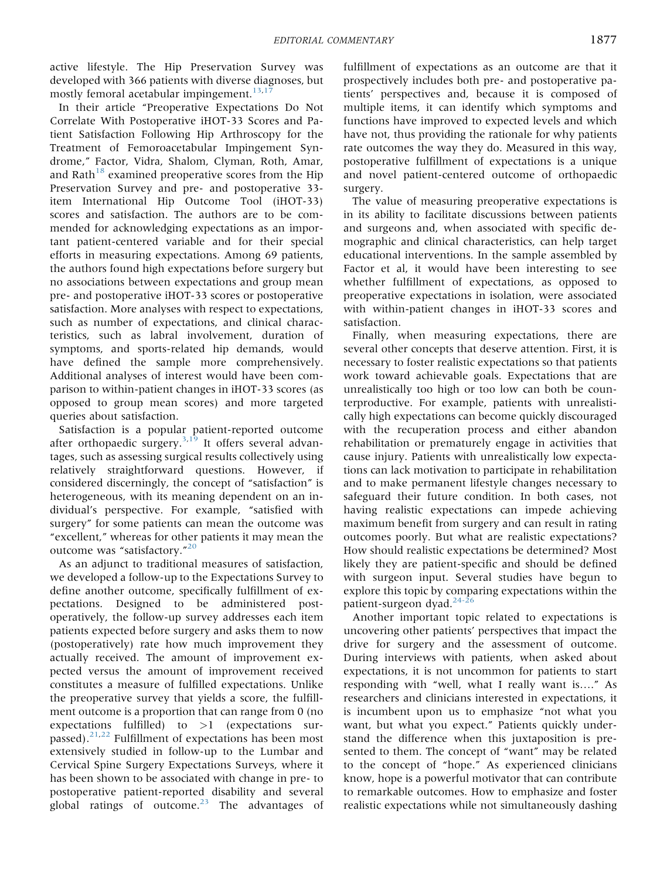active lifestyle. The Hip Preservation Survey was developed with 366 patients with diverse diagnoses, but mostly femoral acetabular impingement. $13,17$  $13,17$ 

In their article "Preoperative Expectations Do Not Correlate With Postoperative iHOT-33 Scores and Patient Satisfaction Following Hip Arthroscopy for the Treatment of Femoroacetabular Impingement Syndrome," Factor, Vidra, Shalom, Clyman, Roth, Amar, and Rath $18$  examined preoperative scores from the Hip Preservation Survey and pre- and postoperative 33 item International Hip Outcome Tool (iHOT-33) scores and satisfaction. The authors are to be commended for acknowledging expectations as an important patient-centered variable and for their special efforts in measuring expectations. Among 69 patients, the authors found high expectations before surgery but no associations between expectations and group mean pre- and postoperative iHOT-33 scores or postoperative satisfaction. More analyses with respect to expectations, such as number of expectations, and clinical characteristics, such as labral involvement, duration of symptoms, and sports-related hip demands, would have defined the sample more comprehensively. Additional analyses of interest would have been comparison to within-patient changes in iHOT-33 scores (as opposed to group mean scores) and more targeted queries about satisfaction.

Satisfaction is a popular patient-reported outcome after orthopaedic surgery.<sup>3[,19](#page-2-10)</sup> It offers several advantages, such as assessing surgical results collectively using relatively straightforward questions. However, if considered discerningly, the concept of "satisfaction" is heterogeneous, with its meaning dependent on an individual's perspective. For example, "satisfied with surgery" for some patients can mean the outcome was "excellent," whereas for other patients it may mean the outcome was "satisfactory."<sup>[20](#page-2-11)</sup>

As an adjunct to traditional measures of satisfaction, we developed a follow-up to the Expectations Survey to define another outcome, specifically fulfillment of expectations. Designed to be administered postoperatively, the follow-up survey addresses each item patients expected before surgery and asks them to now (postoperatively) rate how much improvement they actually received. The amount of improvement expected versus the amount of improvement received constitutes a measure of fulfilled expectations. Unlike the preoperative survey that yields a score, the fulfillment outcome is a proportion that can range from 0 (no expectations fulfilled) to >1 (expectations surpassed).[21,](#page-2-12)[22](#page-2-13) Fulfillment of expectations has been most extensively studied in follow-up to the Lumbar and Cervical Spine Surgery Expectations Surveys, where it has been shown to be associated with change in pre- to postoperative patient-reported disability and several global ratings of outcome. $23$  The advantages of fulfillment of expectations as an outcome are that it prospectively includes both pre- and postoperative patients' perspectives and, because it is composed of multiple items, it can identify which symptoms and functions have improved to expected levels and which have not, thus providing the rationale for why patients rate outcomes the way they do. Measured in this way, postoperative fulfillment of expectations is a unique and novel patient-centered outcome of orthopaedic surgery.

The value of measuring preoperative expectations is in its ability to facilitate discussions between patients and surgeons and, when associated with specific demographic and clinical characteristics, can help target educational interventions. In the sample assembled by Factor et al, it would have been interesting to see whether fulfillment of expectations, as opposed to preoperative expectations in isolation, were associated with within-patient changes in iHOT-33 scores and satisfaction.

Finally, when measuring expectations, there are several other concepts that deserve attention. First, it is necessary to foster realistic expectations so that patients work toward achievable goals. Expectations that are unrealistically too high or too low can both be counterproductive. For example, patients with unrealistically high expectations can become quickly discouraged with the recuperation process and either abandon rehabilitation or prematurely engage in activities that cause injury. Patients with unrealistically low expectations can lack motivation to participate in rehabilitation and to make permanent lifestyle changes necessary to safeguard their future condition. In both cases, not having realistic expectations can impede achieving maximum benefit from surgery and can result in rating outcomes poorly. But what are realistic expectations? How should realistic expectations be determined? Most likely they are patient-specific and should be defined with surgeon input. Several studies have begun to explore this topic by comparing expectations within the patient-surgeon dyad.<sup>[24-26](#page-2-15)</sup>

Another important topic related to expectations is uncovering other patients' perspectives that impact the drive for surgery and the assessment of outcome. During interviews with patients, when asked about expectations, it is not uncommon for patients to start responding with "well, what I really want is...." As researchers and clinicians interested in expectations, it is incumbent upon us to emphasize "not what you want, but what you expect." Patients quickly understand the difference when this juxtaposition is presented to them. The concept of "want" may be related to the concept of "hope." As experienced clinicians know, hope is a powerful motivator that can contribute to remarkable outcomes. How to emphasize and foster realistic expectations while not simultaneously dashing